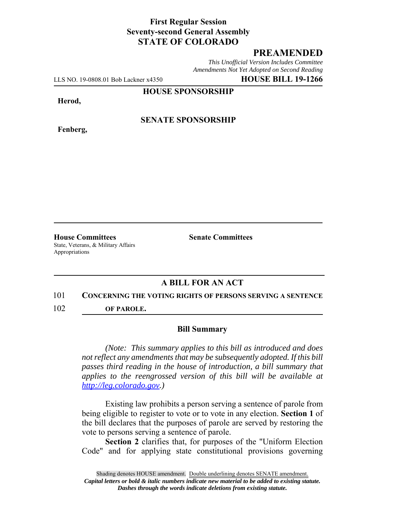## **First Regular Session Seventy-second General Assembly STATE OF COLORADO**

# **PREAMENDED**

*This Unofficial Version Includes Committee Amendments Not Yet Adopted on Second Reading*

LLS NO. 19-0808.01 Bob Lackner x4350 **HOUSE BILL 19-1266**

**HOUSE SPONSORSHIP**

**Herod,**

**Fenberg,**

**SENATE SPONSORSHIP**

**House Committees Senate Committees** State, Veterans, & Military Affairs Appropriations

### **A BILL FOR AN ACT**

#### 101 **CONCERNING THE VOTING RIGHTS OF PERSONS SERVING A SENTENCE**

102 **OF PAROLE.**

#### **Bill Summary**

*(Note: This summary applies to this bill as introduced and does not reflect any amendments that may be subsequently adopted. If this bill passes third reading in the house of introduction, a bill summary that applies to the reengrossed version of this bill will be available at http://leg.colorado.gov.)*

Existing law prohibits a person serving a sentence of parole from being eligible to register to vote or to vote in any election. **Section 1** of the bill declares that the purposes of parole are served by restoring the vote to persons serving a sentence of parole.

**Section 2** clarifies that, for purposes of the "Uniform Election Code" and for applying state constitutional provisions governing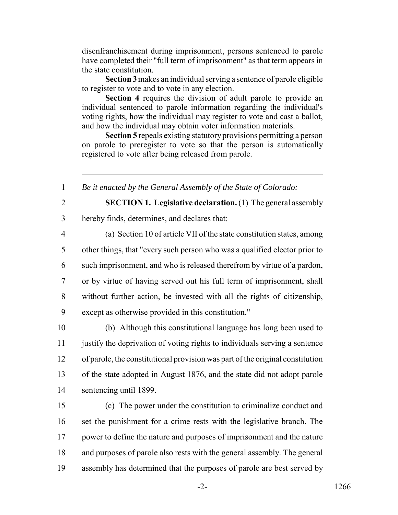disenfranchisement during imprisonment, persons sentenced to parole have completed their "full term of imprisonment" as that term appears in the state constitution.

**Section 3** makes an individual serving a sentence of parole eligible to register to vote and to vote in any election.

**Section 4** requires the division of adult parole to provide an individual sentenced to parole information regarding the individual's voting rights, how the individual may register to vote and cast a ballot, and how the individual may obtain voter information materials.

**Section 5** repeals existing statutory provisions permitting a person on parole to preregister to vote so that the person is automatically registered to vote after being released from parole.

1 *Be it enacted by the General Assembly of the State of Colorado:*

2 **SECTION 1. Legislative declaration.** (1) The general assembly 3 hereby finds, determines, and declares that:

 (a) Section 10 of article VII of the state constitution states, among other things, that "every such person who was a qualified elector prior to such imprisonment, and who is released therefrom by virtue of a pardon, or by virtue of having served out his full term of imprisonment, shall without further action, be invested with all the rights of citizenship, except as otherwise provided in this constitution."

 (b) Although this constitutional language has long been used to justify the deprivation of voting rights to individuals serving a sentence of parole, the constitutional provision was part of the original constitution of the state adopted in August 1876, and the state did not adopt parole sentencing until 1899.

 (c) The power under the constitution to criminalize conduct and set the punishment for a crime rests with the legislative branch. The power to define the nature and purposes of imprisonment and the nature and purposes of parole also rests with the general assembly. The general assembly has determined that the purposes of parole are best served by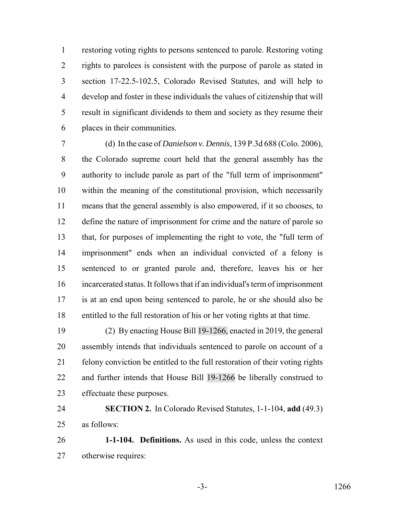restoring voting rights to persons sentenced to parole. Restoring voting rights to parolees is consistent with the purpose of parole as stated in section 17-22.5-102.5, Colorado Revised Statutes, and will help to develop and foster in these individuals the values of citizenship that will result in significant dividends to them and society as they resume their places in their communities.

 (d) In the case of *Danielson v. Dennis*, 139 P.3d 688 (Colo. 2006), the Colorado supreme court held that the general assembly has the authority to include parole as part of the "full term of imprisonment" within the meaning of the constitutional provision, which necessarily means that the general assembly is also empowered, if it so chooses, to 12 define the nature of imprisonment for crime and the nature of parole so that, for purposes of implementing the right to vote, the "full term of imprisonment" ends when an individual convicted of a felony is sentenced to or granted parole and, therefore, leaves his or her incarcerated status. It follows that if an individual's term of imprisonment is at an end upon being sentenced to parole, he or she should also be entitled to the full restoration of his or her voting rights at that time.

 (2) By enacting House Bill 19-1266, enacted in 2019, the general assembly intends that individuals sentenced to parole on account of a felony conviction be entitled to the full restoration of their voting rights and further intends that House Bill 19-1266 be liberally construed to effectuate these purposes.

 **SECTION 2.** In Colorado Revised Statutes, 1-1-104, **add** (49.3) as follows:

 **1-1-104. Definitions.** As used in this code, unless the context otherwise requires: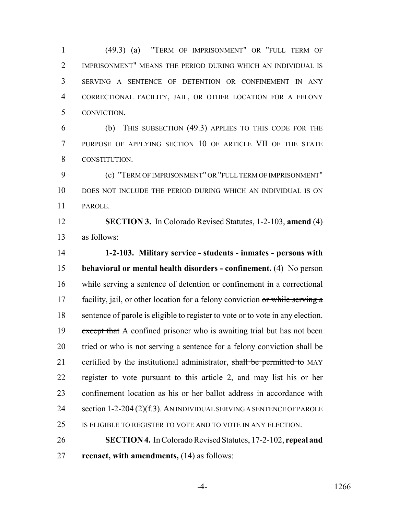(49.3) (a) "TERM OF IMPRISONMENT" OR "FULL TERM OF IMPRISONMENT" MEANS THE PERIOD DURING WHICH AN INDIVIDUAL IS SERVING A SENTENCE OF DETENTION OR CONFINEMENT IN ANY CORRECTIONAL FACILITY, JAIL, OR OTHER LOCATION FOR A FELONY CONVICTION.

 (b) THIS SUBSECTION (49.3) APPLIES TO THIS CODE FOR THE PURPOSE OF APPLYING SECTION 10 OF ARTICLE VII OF THE STATE CONSTITUTION.

 (c) "TERM OF IMPRISONMENT" OR "FULL TERM OF IMPRISONMENT" DOES NOT INCLUDE THE PERIOD DURING WHICH AN INDIVIDUAL IS ON PAROLE.

 **SECTION 3.** In Colorado Revised Statutes, 1-2-103, **amend** (4) as follows:

 **1-2-103. Military service - students - inmates - persons with behavioral or mental health disorders - confinement.** (4) No person while serving a sentence of detention or confinement in a correctional 17 facility, jail, or other location for a felony conviction or while serving a 18 sentence of parole is eligible to register to vote or to vote in any election. 19 except that A confined prisoner who is awaiting trial but has not been tried or who is not serving a sentence for a felony conviction shall be 21 certified by the institutional administrator, shall be permitted to MAY register to vote pursuant to this article 2, and may list his or her confinement location as his or her ballot address in accordance with 24 section 1-2-204 (2)(f.3). AN INDIVIDUAL SERVING A SENTENCE OF PAROLE IS ELIGIBLE TO REGISTER TO VOTE AND TO VOTE IN ANY ELECTION.

 **SECTION 4.** In Colorado Revised Statutes, 17-2-102, **repeal and reenact, with amendments,** (14) as follows: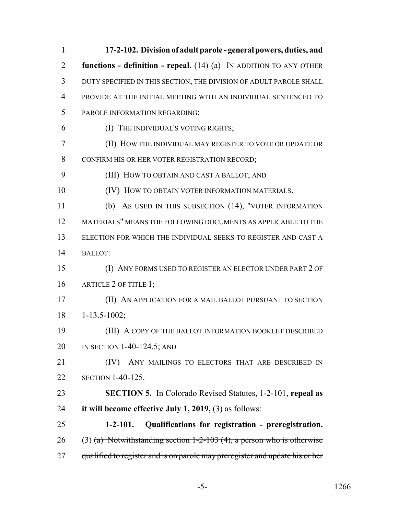| $\mathbf{1}$   | 17-2-102. Division of adult parole - general powers, duties, and             |
|----------------|------------------------------------------------------------------------------|
| $\overline{2}$ | functions - definition - repeal. $(14)$ $(a)$ IN ADDITION TO ANY OTHER       |
| 3              | DUTY SPECIFIED IN THIS SECTION, THE DIVISION OF ADULT PAROLE SHALL           |
| $\overline{4}$ | PROVIDE AT THE INITIAL MEETING WITH AN INDIVIDUAL SENTENCED TO               |
| 5              | PAROLE INFORMATION REGARDING:                                                |
| 6              | (I) THE INDIVIDUAL'S VOTING RIGHTS;                                          |
| $\overline{7}$ | (II) HOW THE INDIVIDUAL MAY REGISTER TO VOTE OR UPDATE OR                    |
| 8              | CONFIRM HIS OR HER VOTER REGISTRATION RECORD;                                |
| 9              | (III) HOW TO OBTAIN AND CAST A BALLOT; AND                                   |
| 10             | (IV) HOW TO OBTAIN VOTER INFORMATION MATERIALS.                              |
| 11             | (b) AS USED IN THIS SUBSECTION (14), "VOTER INFORMATION                      |
| 12             | MATERIALS" MEANS THE FOLLOWING DOCUMENTS AS APPLICABLE TO THE                |
| 13             | ELECTION FOR WHICH THE INDIVIDUAL SEEKS TO REGISTER AND CAST A               |
| 14             | <b>BALLOT:</b>                                                               |
| 15             | (I) ANY FORMS USED TO REGISTER AN ELECTOR UNDER PART 2 OF                    |
| 16             | ARTICLE 2 OF TITLE 1;                                                        |
| 17             | (II) AN APPLICATION FOR A MAIL BALLOT PURSUANT TO SECTION                    |
| 18             | $1 - 13.5 - 1002$ ;                                                          |
| 19             | (III) A COPY OF THE BALLOT INFORMATION BOOKLET DESCRIBED                     |
| 20             | IN SECTION $1-40-124.5$ ; AND                                                |
| 21             | ANY MAILINGS TO ELECTORS THAT ARE DESCRIBED IN<br>(IV)                       |
| 22             | <b>SECTION 1-40-125.</b>                                                     |
| 23             | <b>SECTION 5.</b> In Colorado Revised Statutes, 1-2-101, repeal as           |
| 24             | it will become effective July 1, 2019, $(3)$ as follows:                     |
| 25             | $1 - 2 - 101.$<br>Qualifications for registration - preregistration.         |
| 26             | $(3)$ (a) Notwithstanding section 1-2-103 (4), a person who is otherwise     |
| 27             | qualified to register and is on parole may preregister and update his or her |